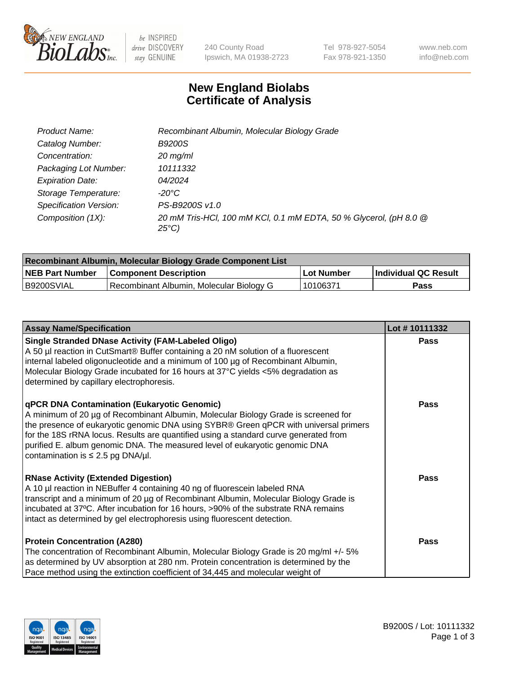

be INSPIRED drive DISCOVERY stay GENUINE

240 County Road Ipswich, MA 01938-2723 Tel 978-927-5054 Fax 978-921-1350 www.neb.com info@neb.com

## **New England Biolabs Certificate of Analysis**

| Product Name:           | Recombinant Albumin, Molecular Biology Grade                                       |
|-------------------------|------------------------------------------------------------------------------------|
| Catalog Number:         | <b>B9200S</b>                                                                      |
| Concentration:          | $20$ mg/ml                                                                         |
| Packaging Lot Number:   | 10111332                                                                           |
| <b>Expiration Date:</b> | 04/2024                                                                            |
| Storage Temperature:    | -20°C                                                                              |
| Specification Version:  | PS-B9200S v1.0                                                                     |
| Composition (1X):       | 20 mM Tris-HCl, 100 mM KCl, 0.1 mM EDTA, 50 % Glycerol, (pH 8.0 @<br>$25^{\circ}C$ |

| Recombinant Albumin, Molecular Biology Grade Component List |                                          |            |                      |  |
|-------------------------------------------------------------|------------------------------------------|------------|----------------------|--|
| <b>NEB Part Number</b>                                      | <b>Component Description</b>             | Lot Number | Individual QC Result |  |
| B9200SVIAL                                                  | Recombinant Albumin, Molecular Biology G | 10106371   | Pass                 |  |

| <b>Assay Name/Specification</b>                                                                                                                                                                                                                                                                                                                                                                                                                   | Lot #10111332 |
|---------------------------------------------------------------------------------------------------------------------------------------------------------------------------------------------------------------------------------------------------------------------------------------------------------------------------------------------------------------------------------------------------------------------------------------------------|---------------|
| <b>Single Stranded DNase Activity (FAM-Labeled Oligo)</b><br>A 50 µl reaction in CutSmart® Buffer containing a 20 nM solution of a fluorescent<br>internal labeled oligonucleotide and a minimum of 100 µg of Recombinant Albumin,<br>Molecular Biology Grade incubated for 16 hours at 37°C yields <5% degradation as<br>determined by capillary electrophoresis.                                                                                | <b>Pass</b>   |
| <b>qPCR DNA Contamination (Eukaryotic Genomic)</b><br>A minimum of 20 µg of Recombinant Albumin, Molecular Biology Grade is screened for<br>the presence of eukaryotic genomic DNA using SYBR® Green qPCR with universal primers<br>for the 18S rRNA locus. Results are quantified using a standard curve generated from<br>purified E. album genomic DNA. The measured level of eukaryotic genomic DNA<br>contamination is $\leq$ 2.5 pg DNA/µl. | <b>Pass</b>   |
| <b>RNase Activity (Extended Digestion)</b><br>A 10 µl reaction in NEBuffer 4 containing 40 ng of fluorescein labeled RNA<br>transcript and a minimum of 20 µg of Recombinant Albumin, Molecular Biology Grade is<br>incubated at 37°C. After incubation for 16 hours, >90% of the substrate RNA remains<br>intact as determined by gel electrophoresis using fluorescent detection.                                                               | Pass          |
| <b>Protein Concentration (A280)</b><br>The concentration of Recombinant Albumin, Molecular Biology Grade is 20 mg/ml +/- 5%<br>as determined by UV absorption at 280 nm. Protein concentration is determined by the<br>Pace method using the extinction coefficient of 34,445 and molecular weight of                                                                                                                                             | <b>Pass</b>   |

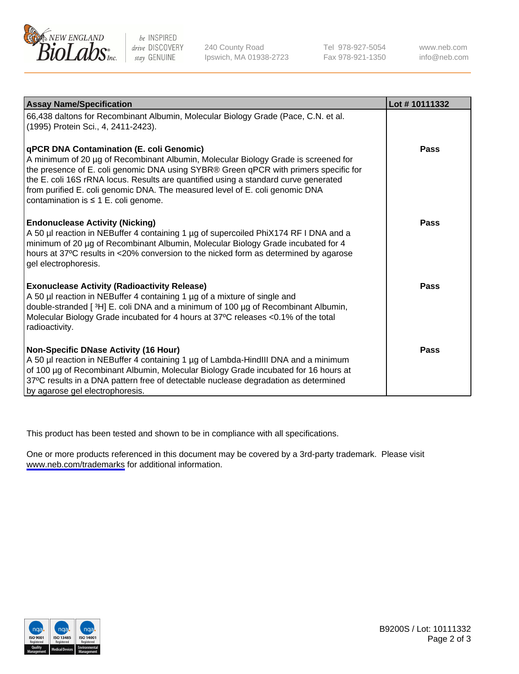

be INSPIRED drive DISCOVERY stay GENUINE

240 County Road Ipswich, MA 01938-2723 Tel 978-927-5054 Fax 978-921-1350

www.neb.com info@neb.com

| <b>Assay Name/Specification</b>                                                                                                                                                                                                                                                                                                                                                                                                            | Lot #10111332 |
|--------------------------------------------------------------------------------------------------------------------------------------------------------------------------------------------------------------------------------------------------------------------------------------------------------------------------------------------------------------------------------------------------------------------------------------------|---------------|
| 66,438 daltons for Recombinant Albumin, Molecular Biology Grade (Pace, C.N. et al.<br>(1995) Protein Sci., 4, 2411-2423).                                                                                                                                                                                                                                                                                                                  |               |
| qPCR DNA Contamination (E. coli Genomic)<br>A minimum of 20 µg of Recombinant Albumin, Molecular Biology Grade is screened for<br>the presence of E. coli genomic DNA using SYBR® Green qPCR with primers specific for<br>the E. coli 16S rRNA locus. Results are quantified using a standard curve generated<br>from purified E. coli genomic DNA. The measured level of E. coli genomic DNA<br>contamination is $\leq 1$ E. coli genome. | <b>Pass</b>   |
| <b>Endonuclease Activity (Nicking)</b><br>A 50 µl reaction in NEBuffer 4 containing 1 µg of supercoiled PhiX174 RF I DNA and a<br>minimum of 20 µg of Recombinant Albumin, Molecular Biology Grade incubated for 4<br>hours at 37°C results in <20% conversion to the nicked form as determined by agarose<br>gel electrophoresis.                                                                                                         | Pass          |
| <b>Exonuclease Activity (Radioactivity Release)</b><br>A 50 µl reaction in NEBuffer 4 containing 1 µg of a mixture of single and<br>double-stranded [3H] E. coli DNA and a minimum of 100 µg of Recombinant Albumin,<br>Molecular Biology Grade incubated for 4 hours at 37°C releases <0.1% of the total<br>radioactivity.                                                                                                                | Pass          |
| <b>Non-Specific DNase Activity (16 Hour)</b><br>A 50 µl reaction in NEBuffer 4 containing 1 µg of Lambda-HindIII DNA and a minimum<br>of 100 µg of Recombinant Albumin, Molecular Biology Grade incubated for 16 hours at<br>37°C results in a DNA pattern free of detectable nuclease degradation as determined<br>by agarose gel electrophoresis.                                                                                        | Pass          |

This product has been tested and shown to be in compliance with all specifications.

One or more products referenced in this document may be covered by a 3rd-party trademark. Please visit <www.neb.com/trademarks>for additional information.